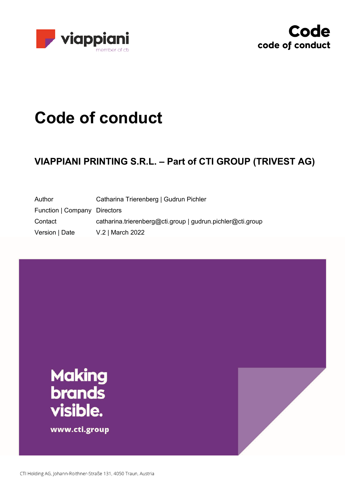



# **Code of conduct**

# **VIAPPIANI PRINTING S.R.L. – Part of CTI GROUP (TRIVEST AG)**

| Author                       | Catharina Trierenberg   Gudrun Pichler                     |
|------------------------------|------------------------------------------------------------|
| Function   Company Directors |                                                            |
| Contact                      | catharina.trierenberg@cti.group   gudrun.pichler@cti.group |
| Version   Date               | V.2   March 2022                                           |

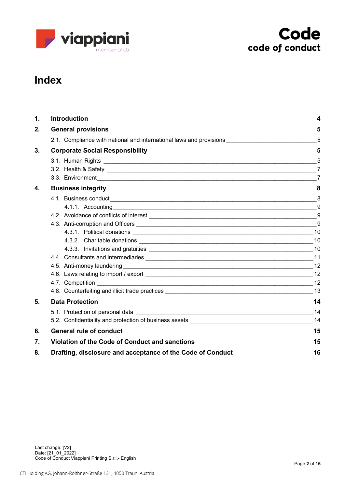



# **Index**

| $\mathbf 1$ .    | <b>Introduction</b>                                                                                                                                                                                                                | 4              |  |
|------------------|------------------------------------------------------------------------------------------------------------------------------------------------------------------------------------------------------------------------------------|----------------|--|
| 2.               | <b>General provisions</b>                                                                                                                                                                                                          |                |  |
|                  | 2.1. Compliance with national and international laws and provisions                                                                                                                                                                | 5              |  |
| 3.               | <b>Corporate Social Responsibility</b>                                                                                                                                                                                             | 5              |  |
|                  |                                                                                                                                                                                                                                    | 5              |  |
|                  | 3.2. Health & Safety 27                                                                                                                                                                                                            |                |  |
|                  | 3.3. Environment <b>Constanting Construction Constanting Constanting Constanting Constanting Constanting Constanting Constanting Constanting Constanting Constanting Constanting Constanting Constanting Constanting Constanti</b> | $\overline{7}$ |  |
| 4.               | <b>Business integrity</b>                                                                                                                                                                                                          | 8              |  |
|                  |                                                                                                                                                                                                                                    |                |  |
|                  |                                                                                                                                                                                                                                    | 9              |  |
|                  |                                                                                                                                                                                                                                    |                |  |
|                  |                                                                                                                                                                                                                                    | 9              |  |
|                  |                                                                                                                                                                                                                                    | 10             |  |
|                  |                                                                                                                                                                                                                                    |                |  |
|                  |                                                                                                                                                                                                                                    | 10             |  |
|                  |                                                                                                                                                                                                                                    |                |  |
|                  | 4.5. Anti-money laundering experience and a series of the state of the state of the state of the state of the                                                                                                                      | 12             |  |
|                  | 4.6. Laws relating to import / export export export of the state of the state of the state of the state of the state of the state of the state of the state of the state of the state of the state of the state of the state o     |                |  |
|                  |                                                                                                                                                                                                                                    | 12             |  |
|                  |                                                                                                                                                                                                                                    | 13             |  |
| 5.               | <b>Data Protection</b>                                                                                                                                                                                                             | 14             |  |
|                  |                                                                                                                                                                                                                                    | 14             |  |
|                  | 5.2. Confidentiality and protection of business assets <b>EXALGO ADDITION</b> 2004 12:30 AM                                                                                                                                        | 14             |  |
| 6.               | <b>General rule of conduct</b>                                                                                                                                                                                                     | 15             |  |
| $\overline{7}$ . | Violation of the Code of Conduct and sanctions                                                                                                                                                                                     |                |  |
| 8.               | Drafting, disclosure and acceptance of the Code of Conduct                                                                                                                                                                         |                |  |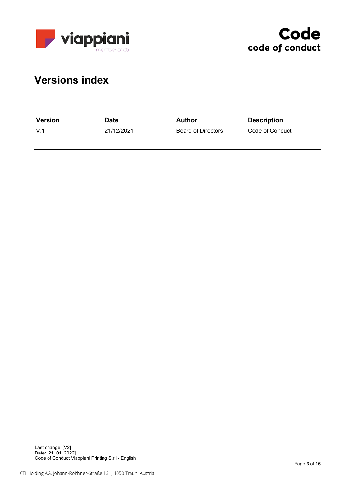



# **Versions index**

| <b>Version</b> | Date       | Author                    | <b>Description</b> |  |
|----------------|------------|---------------------------|--------------------|--|
| - V.1          | 21/12/2021 | <b>Board of Directors</b> | Code of Conduct    |  |
|                |            |                           |                    |  |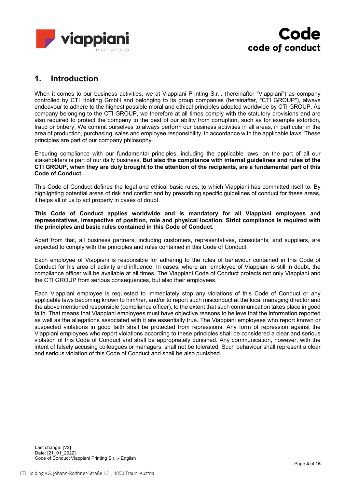



# **1. Introduction**

When it comes to our business activities, we at Viappiani Printing S.r.l. (hereinafter "Viappiani") as company controlled by CTI Holding GmbH and belonging to its group companies (hereinafter, "CTI GROUP"), always endeavour to adhere to the highest possible moral and ethical principles adopted worldwide by CTI GROUP. As company belonging to the CTI GROUP, we therefore at all times comply with the statutory provisions and are also required to protect the company to the best of our ability from corruption, such as for example extortion, fraud or bribery. We commit ourselves to always perform our business activities in all areas, in particular in the area of production, purchasing, sales and employee responsibility, in accordance with the applicable laws. These principles are part of our company philosophy.

Ensuring compliance with our fundamental principles, including the applicable laws, on the part of all our stakeholders is part of our daily business. **But also the compliance with internal guidelines and rules of the** CTI GROUP, when they are duly brought to the attention of the recipients, are a fundamental part of this **Code of Conduct.**

This Code of Conduct defines the legal and ethical basic rules, to which Viappiani has committed itself to. By highlighting potential areas of risk and conflict and by prescribing specific guidelines of conduct for these areas, it helps all of us to act properly in cases of doubt.

**This Code of Conduct applies worldwide and is mandatory for all Viappiani employees and representatives, irrespective of position, role and physical location. Strict compliance is required with the principles and basic rules contained in this Code of Conduct.**

Apart from that, all business partners, including customers, representatives, consultants, and suppliers, are expected to comply with the principles and rules contained in this Code of Conduct.

Each employee of Viappiani is responsible for adhering to the rules of behaviour contained in this Code of Conduct for his area of activity and influence. In cases, where an employee of Viappiani is still in doubt, the compliance officer will be available at all times. The Viappiani Code of Conduct protects not only Viappiani and the CTI GROUP from serious consequences, but also their employees.

Each Viappiani employee is requested to immediately stop any violations of this Code of Conduct or any applicable laws becoming known to him/her, and/or to report such misconduct at the local managing director and the above mentioned responsible (compliance officer), to the extent that such communication takes place in good faith. That means that Viappiani employees must have objective reasons to believe that the information reported as well as the allegations associated with it are essentially true. The Viappiani employees who report known or suspected violations in good faith shall be protected from repressions. Any form of repression against the Viappiani employees who report violations according to these principles shall be considered a clear and serious violation of this Code of Conduct and shall be appropriately punished. Any communication, however, with the intent of falsely accusing colleagues or managers, shall not be tolerated. Such behaviour shall represent a clear and serious violation of this Code of Conduct and shall be also punished.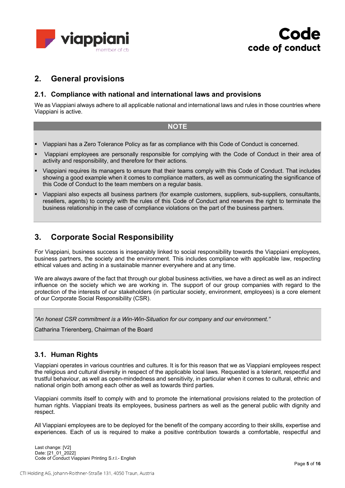



# **2. General provisions**

#### **2.1. Compliance with national and international laws and provisions**

We as Viappiani always adhere to all applicable national and international laws and rules in those countries where Viappiani is active.

#### **NOTE**

- § Viappiani has a Zero Tolerance Policy as far as compliance with this Code of Conduct is concerned.
- § Viappiani employees are personally responsible for complying with the Code of Conduct in their area of activity and responsibility, and therefore for their actions.
- § Viappiani requires its managers to ensure that their teams comply with this Code of Conduct. That includes showing a good example when it comes to compliance matters, as well as communicating the significance of this Code of Conduct to the team members on a regular basis.
- § Viappiani also expects all business partners (for example customers, suppliers, sub-suppliers, consultants, resellers, agents) to comply with the rules of this Code of Conduct and reserves the right to terminate the business relationship in the case of compliance violations on the part of the business partners.

# **3. Corporate Social Responsibility**

For Viappiani, business success is inseparably linked to social responsibility towards the Viappiani employees, business partners, the society and the environment. This includes compliance with applicable law, respecting ethical values and acting in a sustainable manner everywhere and at any time.

We are always aware of the fact that through our global business activities, we have a direct as well as an indirect influence on the society which we are working in. The support of our group companies with regard to the protection of the interests of our stakeholders (in particular society, environment, employees) is a core element of our Corporate Social Responsibility (CSR).

*"An honest CSR commitment is a Win-Win-Situation for our company and our environment."*

Catharina Trierenberg, Chairman of the Board

#### **3.1. Human Rights**

Viappiani operates in various countries and cultures. It is for this reason that we as Viappiani employees respect the religious and cultural diversity in respect of the applicable local laws. Requested is a tolerant, respectful and trustful behaviour, as well as open-mindedness and sensitivity, in particular when it comes to cultural, ethnic and national origin both among each other as well as towards third parties.

Viappiani commits itself to comply with and to promote the international provisions related to the protection of human rights. Viappiani treats its employees, business partners as well as the general public with dignity and respect.

All Viappiani employees are to be deployed for the benefit of the company according to their skills, expertise and experiences. Each of us is required to make a positive contribution towards a comfortable, respectful and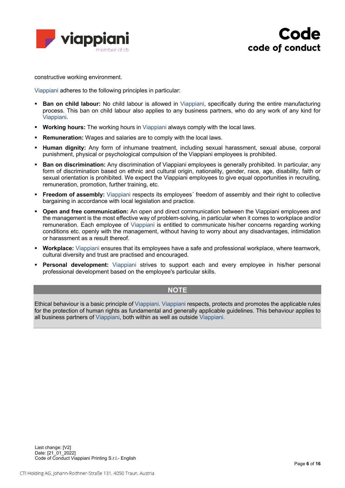



constructive working environment.

Viappiani adheres to the following principles in particular:

- § **Ban on child labour:** No child labour is allowed in Viappiani, specifically during the entire manufacturing process. This ban on child labour also applies to any business partners, who do any work of any kind for Viappiani.
- § **Working hours:** The working hours in Viappiani always comply with the local laws.
- **Remuneration:** Wages and salaries are to comply with the local laws.
- § **Human dignity:** Any form of inhumane treatment, including sexual harassment, sexual abuse, corporal punishment, physical or psychological compulsion of the Viappiani employees is prohibited.
- § **Ban on discrimination:** Any discrimination of Viappiani employees is generally prohibited. In particular, any form of discrimination based on ethnic and cultural origin, nationality, gender, race, age, disability, faith or sexual orientation is prohibited. We expect the Viappiani employees to give equal opportunities in recruiting, remuneration, promotion, further training, etc.
- **Freedom of assembly:** Viappiani respects its employees' freedom of assembly and their right to collective bargaining in accordance with local legislation and practice.
- § **Open and free communication:** An open and direct communication between the Viappiani employees and the management is the most effective way of problem-solving, in particular when it comes to workplace and/or remuneration. Each employee of Viappiani is entitled to communicate his/her concerns regarding working conditions etc. openly with the management, without having to worry about any disadvantages, intimidation or harassment as a result thereof.
- § **Workplace:** Viappiani ensures that its employees have a safe and professional workplace, where teamwork, cultural diversity and trust are practised and encouraged.
- § **Personal development:** Viappiani strives to support each and every employee in his/her personal professional development based on the employee's particular skills.

#### **NOTE**

Ethical behaviour is a basic principle of Viappiani. Viappiani respects, protects and promotes the applicable rules for the protection of human rights as fundamental and generally applicable guidelines. This behaviour applies to all business partners of Viappiani, both within as well as outside Viappiani.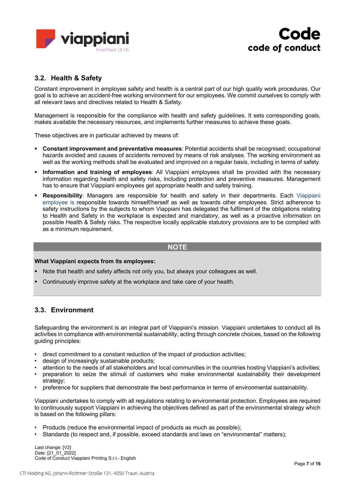



#### **3.2. Health & Safety**

Constant improvement in employee safety and health is a central part of our high quality work procedures. Our goal is to achieve an accident-free working environment for our employees. We commit ourselves to comply with all relevant laws and directives related to Health & Safety.

Management is responsible for the compliance with health and safety guidelines. It sets corresponding goals, makes available the necessary resources, and implements further measures to achieve these goals.

These objectives are in particular achieved by means of:

- § **Constant improvement and preventative measures**: Potential accidents shall be recognised; occupational hazards avoided and causes of accidents removed by means of risk analyses. The working environment as well as the working methods shall be evaluated and improved on a regular basis, including in terms of safety.
- § **Information and training of employees**: All Viappiani employees shall be provided with the necessary information regarding health and safety risks, including protection and preventive measures. Management has to ensure that Viappiani employees get appropriate health and safety training.
- § **Responsibility**: Managers are responsible for health and safety in their departments. Each Viappiani employee is responsible towards himself/herself as well as towards other employees. Strict adherence to safety instructions by the subjects to whom Viappiani has delegated the fulfilment of the obligations relating to Health and Safety in the workplace is expected and mandatory, as well as a proactive information on possible Health & Safety risks. The respective locally applicable statutory provisions are to be complied with as a minimum requirement.

#### **NOTE**

#### **What Viappiani expects from its employees:**

- Note that health and safety affects not only you, but always your colleagues as well.
- Continuously improve safety at the workplace and take care of your health.

#### **3.3. Environment**

Safeguarding the environment is an integral part of Viappiani's mission. Viappiani undertakes to conduct all its activities in compliance with environmental sustainability, acting through concrete choices, based on the following guiding principles:

- direct commitment to a constant reduction of the impact of production activities;
- design of increasingly sustainable products;
- attention to the needs of all stakeholders and local communities in the countries hosting Viappiani's activities;
- preparation to seize the stimuli of customers who make environmental sustainability their development strategy;
- preference for suppliers that demonstrate the best performance in terms of environmental sustainability.

Viappiani undertakes to comply with all regulations relating to environmental protection. Employees are required to continuously support Viappiani in achieving the objectives defined as part of the environmental strategy which is based on the following pillars:

- Products (reduce the environmental impact of products as much as possible);
- Standards (to respect and, if possible, exceed standards and laws on "environmental" matters);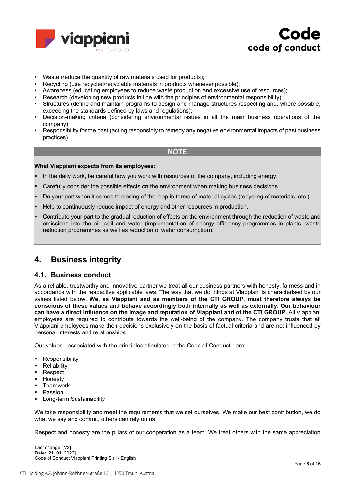



- Waste (reduce the quantity of raw materials used for products);
- Recycling (use recycled/recyclable materials in products whenever possible);
- Awareness (educating employees to reduce waste production and excessive use of resources);
- Research (developing new products in line with the principles of environmental responsibility);
- Structures (define and maintain programs to design and manage structures respecting and, where possible, exceeding the standards defined by laws and regulations);
- Decision-making criteria (considering environmental issues in all the main business operations of the company);
- Responsibility for the past (acting responsibly to remedy any negative environmental impacts of past business practices).

#### **NOTE**

#### **What Viappiani expects from its employees:**

- In the daily work, be careful how you work with resources of the company, including energy.
- Carefully consider the possible effects on the environment when making business decisions.
- § Do your part when it comes to closing of the loop in terms of material cycles (recycling of materials, etc.).
- Help to continuously reduce impact of energy and other resources in production.
- § Contribute your part to the gradual reduction of effects on the environment through the reduction of waste and emissions into the air, soil and water (implementation of energy efficiency programmes in plants, waste reduction programmes as well as reduction of water consumption).

### **4. Business integrity**

#### **4.1. Business conduct**

As a reliable, trustworthy and innovative partner we treat all our business partners with honesty, fairness and in accordance with the respective applicable laws. The way that we do things at Viappiani is characterised by our values listed below. **We, as Viappiani and as members of the CTI GROUP, must therefore always be conscious of these values and behave accordingly both internally as well as externally. Our behaviour can have a direct influence on the image and reputation of Viappiani and of the CTI GROUP.** All Viappiani employees are required to contribute towards the well-being of the company. The company trusts that all Viappiani employees make their decisions exclusively on the basis of factual criteria and are not influenced by personal interests and relationships.

Our values - associated with the principles stipulated in the Code of Conduct - are:

- Responsibility
- Reliability
- Respect
- § Honesty
- § Teamwork
- Passion
- **■** Long-term Sustainability

We take responsibility and meet the requirements that we set ourselves. We make our best contribution, we do what we say and commit, others can rely on us.

Respect and honesty are the pillars of our cooperation as a team. We treat others with the same appreciation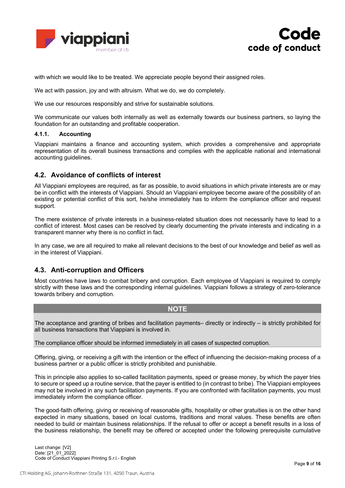



with which we would like to be treated. We appreciate people beyond their assigned roles.

We act with passion, joy and with altruism. What we do, we do completely.

We use our resources responsibly and strive for sustainable solutions.

We communicate our values both internally as well as externally towards our business partners, so laying the foundation for an outstanding and profitable cooperation.

#### **4.1.1. Accounting**

Viappiani maintains a finance and accounting system, which provides a comprehensive and appropriate representation of its overall business transactions and complies with the applicable national and international accounting quidelines.

#### **4.2. Avoidance of conflicts of interest**

All Viappiani employees are required, as far as possible, to avoid situations in which private interests are or may be in conflict with the interests of Viappiani. Should an Viappiani employee become aware of the possibility of an existing or potential conflict of this sort, he/she immediately has to inform the compliance officer and request support.

The mere existence of private interests in a business-related situation does not necessarily have to lead to a conflict of interest. Most cases can be resolved by clearly documenting the private interests and indicating in a transparent manner why there is no conflict in fact.

In any case, we are all required to make all relevant decisions to the best of our knowledge and belief as well as in the interest of Viappiani.

#### **4.3. Anti-corruption and Officers**

Most countries have laws to combat bribery and corruption. Each employee of Viappiani is required to comply strictly with these laws and the corresponding internal guidelines. Viappiani follows a strategy of zero-tolerance towards bribery and corruption.

#### **NOTE**

The acceptance and granting of bribes and facilitation payments– directly or indirectly – is strictly prohibited for all business transactions that Viappiani is involved in.

The compliance officer should be informed immediately in all cases of suspected corruption.

Offering, giving, or receiving a gift with the intention or the effect of influencing the decision-making process of a business partner or a public officer is strictly prohibited and punishable.

This in principle also applies to so-called facilitation payments, speed or grease money, by which the payer tries to secure or speed up a routine service, that the payer is entitled to (in contrast to bribe). The Viappiani employees may not be involved in any such facilitation payments. If you are confronted with facilitation payments, you must immediately inform the compliance officer.

The good-faith offering, giving or receiving of reasonable gifts, hospitality or other gratuities is on the other hand expected in many situations, based on local customs, traditions and moral values. These benefits are often needed to build or maintain business relationships. If the refusal to offer or accept a benefit results in a loss of the business relationship, the benefit may be offered or accepted under the following prerequisite cumulative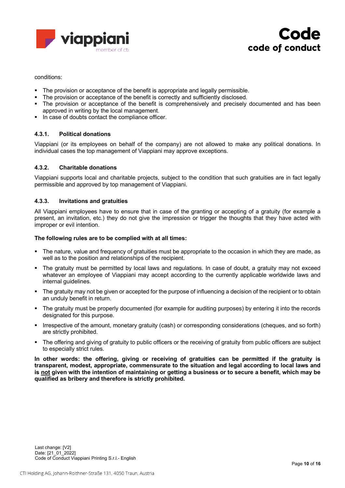



conditions:

- § The provision or acceptance of the benefit is appropriate and legally permissible.
- The provision or acceptance of the benefit is correctly and sufficiently disclosed.
- The provision or acceptance of the benefit is comprehensively and precisely documented and has been approved in writing by the local management.
- In case of doubts contact the compliance officer.

#### **4.3.1. Political donations**

Viappiani (or its employees on behalf of the company) are not allowed to make any political donations. In individual cases the top management of Viappiani may approve exceptions.

#### **4.3.2. Charitable donations**

Viappiani supports local and charitable projects, subject to the condition that such gratuities are in fact legally permissible and approved by top management of Viappiani.

#### **4.3.3. Invitations and gratuities**

All Viappiani employees have to ensure that in case of the granting or accepting of a gratuity (for example a present, an invitation, etc.) they do not give the impression or trigger the thoughts that they have acted with improper or evil intention.

#### **The following rules are to be complied with at all times:**

- § The nature, value and frequency of gratuities must be appropriate to the occasion in which they are made, as well as to the position and relationships of the recipient.
- The gratuity must be permitted by local laws and regulations. In case of doubt, a gratuity may not exceed whatever an employee of Viappiani may accept according to the currently applicable worldwide laws and internal quidelines.
- § The gratuity may not be given or accepted for the purpose of influencing a decision of the recipient or to obtain an unduly benefit in return.
- The gratuity must be properly documented (for example for auditing purposes) by entering it into the records designated for this purpose.
- § Irrespective of the amount, monetary gratuity (cash) or corresponding considerations (cheques, and so forth) are strictly prohibited.
- The offering and giving of gratuity to public officers or the receiving of gratuity from public officers are subject to especially strict rules.

**In other words: the offering, giving or receiving of gratuities can be permitted if the gratuity is transparent, modest, appropriate, commensurate to the situation and legal according to local laws and** is not given with the intention of maintaining or getting a business or to secure a benefit, which may be **qualified as bribery and therefore is strictly prohibited.**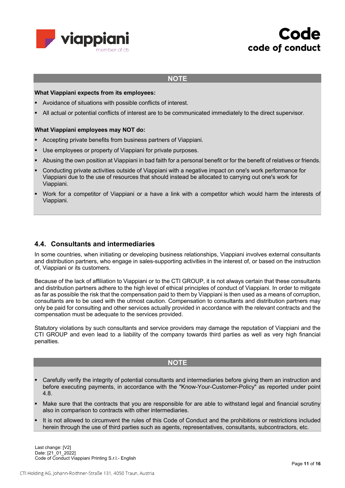



#### **NOTE**

#### **What Viappiani expects from its employees:**

- § Avoidance of situations with possible conflicts of interest.
- All actual or potential conflicts of interest are to be communicated immediately to the direct supervisor.

#### **What Viappiani employees may NOT do:**

- § Accepting private benefits from business partners of Viappiani.
- Use employees or property of Viappiani for private purposes.
- Abusing the own position at Viappiani in bad faith for a personal benefit or for the benefit of relatives or friends.
- § Conducting private activities outside of Viappiani with a negative impact on one's work performance for Viappiani due to the use of resources that should instead be allocated to carrying out one's work for Viappiani.
- Work for a competitor of Viappiani or a have a link with a competitor which would harm the interests of Viappiani.

#### **4.4. Consultants and intermediaries**

In some countries, when initiating or developing business relationships, Viappiani involves external consultants and distribution partners, who engage in sales-supporting activities in the interest of, or based on the instruction of, Viappiani or its customers.

Because of the lack of affiliation to Viappiani or to the CTI GROUP, it is not always certain that these consultants and distribution partners adhere to the high level of ethical principles of conduct of Viappiani. In order to mitigate as far as possible the risk that the compensation paid to them by Viappiani is then used as a means of corruption, consultants are to be used with the utmost caution. Compensation to consultants and distribution partners may only be paid for consulting and other services actually provided in accordance with the relevant contracts and the compensation must be adequate to the services provided.

Statutory violations by such consultants and service providers may damage the reputation of Viappiani and the CTI GROUP and even lead to a liability of the company towards third parties as well as very high financial penalties.

#### **NOTE**

- § Carefully verify the integrity of potential consultants and intermediaries before giving them an instruction and before executing payments, in accordance with the "Know-Your-Customer-Policy" as reported under point 4.8.
- Make sure that the contracts that you are responsible for are able to withstand legal and financial scrutiny also in comparison to contracts with other intermediaries.
- It is not allowed to circumvent the rules of this Code of Conduct and the prohibitions or restrictions included herein through the use of third parties such as agents, representatives, consultants, subcontractors, etc.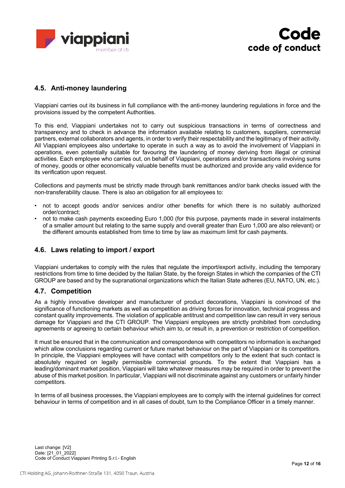



### **4.5. Anti-money laundering**

Viappiani carries out its business in full compliance with the anti-money laundering regulations in force and the provisions issued by the competent Authorities.

To this end, Viappiani undertakes not to carry out suspicious transactions in terms of correctness and transparency and to check in advance the information available relating to customers, suppliers, commercial partners, external collaborators and agents, in order to verify their respectability and the legitimacy of their activity. All Viappiani employees also undertake to operate in such a way as to avoid the involvement of Viappiani in operations, even potentially suitable for favouring the laundering of money deriving from illegal or criminal activities. Each employee who carries out, on behalf of Viappiani, operations and/or transactions involving sums of money, goods or other economically valuable benefits must be authorized and provide any valid evidence for its verification upon request.

Collections and payments must be strictly made through bank remittances and/or bank checks issued with the non-transferability clause. There is also an obligation for all employees to:

- not to accept goods and/or services and/or other benefits for which there is no suitably authorized order/contract;
- not to make cash payments exceeding Euro 1,000 (for this purpose, payments made in several instalments of a smaller amount but relating to the same supply and overall greater than Euro 1,000 are also relevant) or the different amounts established from time to time by law as maximum limit for cash payments.

#### **4.6. Laws relating to import / export**

Viappiani undertakes to comply with the rules that regulate the import/export activity, including the temporary restrictions from time to time decided by the Italian State, by the foreign States in which the companies of the CTI GROUP are based and by the supranational organizations which the Italian State adheres (EU, NATO, UN, etc.).

#### **4.7. Competition**

As a highly innovative developer and manufacturer of product decorations, Viappiani is convinced of the significance of functioning markets as well as competition as driving forces for innovation, technical progress and constant quality improvements. The violation of applicable antitrust and competition law can result in very serious damage for Viappiani and the CTI GROUP. The Viappiani employees are strictly prohibited from concluding agreements or agreeing to certain behaviour which aim to, or result in, a prevention or restriction of competition.

It must be ensured that in the communication and correspondence with competitors no information is exchanged which allow conclusions regarding current or future market behaviour on the part of Viappiani or its competitors. In principle, the Viappiani employees will have contact with competitors only to the extent that such contact is absolutely required on legally permissible commercial grounds. To the extent that Viappiani has a leading/dominant market position, Viappiani will take whatever measures may be required in order to prevent the abuse of this market position. In particular, Viappiani will not discriminate against any customers or unfairly hinder competitors.

In terms of all business processes, the Viappiani employees are to comply with the internal guidelines for correct behaviour in terms of competition and in all cases of doubt, turn to the Compliance Officer in a timely manner.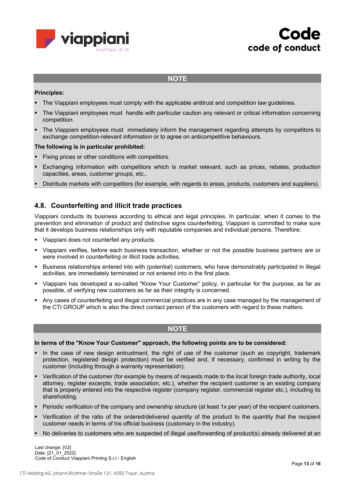



#### **NOTE**

#### **Principles:**

- The Viappiani employees must comply with the applicable antitrust and competition law guidelines.
- The Viappiani employees must handle with particular caution any relevant or critical information concerning competition.
- The Viappiani employees must immediately inform the management regarding attempts by competitors to exchange competition-relevant information or to agree on anticompetitive behaviours.

#### **The following is in particular prohibited:**

- Fixing prices or other conditions with competitors.
- Exchanging information with competitors which is market relevant, such as prices, rebates, production capacities, areas, customer groups, etc..
- § Distribute markets with competitors (for example, with regards to areas, products, customers and suppliers).

#### **4.8. Counterfeiting and illicit trade practices**

Viappiani conducts its business according to ethical and legal principles. In particular, when it comes to the prevention and elimination of product and distinctive signs counterfeiting, Viappiani is committed to make sure that it develops business relationships only with reputable companies and individual persons. Therefore:

- Viappiani does not counterfeit any products.
- § Viappiani verifies, before each business transaction, whether or not the possible business partners are or were involved in counterfeiting or illicit trade activities.
- § Business relationships entered into with (potential) customers, who have demonstrably participated in illegal activities, are immediately terminated or not entered into in the first place.
- § Viappiani has developed a so-called "Know Your Customer" policy, in particular for the purpose, as far as possible, of verifying new customers as far as their integrity is concerned.
- § Any cases of counterfeiting and illegal commercial practices are in any case managed by the management of the CTI GROUP which is also the direct contact person of the customers with regard to these matters.

#### **NOTE**

#### **In terms of the "Know Your Customer" approach, the following points are to be considered:**

- In the case of new design entrustment, the right of use of the customer (such as copyright, trademark protection, registered design protection) must be verified and, if necessary, confirmed in writing by the customer (including through a warranty representation).
- Verification of the customer (for example by means of requests made to the local foreign trade authority, local attorney, register excerpts, trade association, etc.), whether the recipient customer is an existing company that is properly entered into the respective register (company register, commercial register etc.), including its shareholding.
- § Periodic verification of the company and ownership structure (at least 1x per year) of the recipient customers.
- Verification of the ratio of the ordered/delivered quantity of the product to the quantity that the recipient customer needs in terms of his official business (customary in the industry).
- No deliveries to customers who are suspected of illegal use/forwarding of product(s) already delivered at an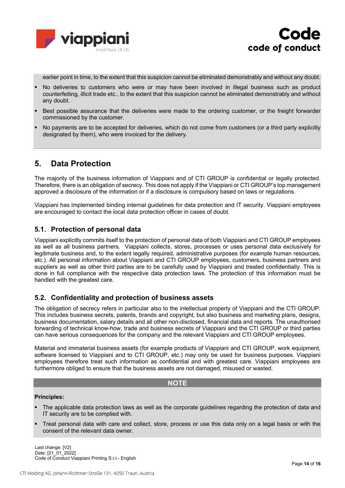



earlier point in time, to the extent that this suspicion cannot be eliminated demonstrably and without any doubt.

- No deliveries to customers who were or may have been involved in illegal business such as product counterfeiting, illicit trade etc., to the extent that this suspicion cannot be eliminated demonstrably and without any doubt.
- Best possible assurance that the deliveries were made to the ordering customer, or the freight forwarder commissioned by the customer.
- § No payments are to be accepted for deliveries, which do not come from customers (or a third party explicitly designated by them), who were invoiced for the delivery.

## **5. Data Protection**

The majority of the business information of Viappiani and of CTI GROUP is confidential or legally protected. Therefore, there is an obligation of secrecy. This does not apply if the Viappiani or CTI GROUP's top management approved a disclosure of the information or if a disclosure is compulsory based on laws or regulations.

Viappiani has implemented binding internal guidelines for data protection and IT security. Viappiani employees are encouraged to contact the local data protection officer in cases of doubt.

#### **5.1. Protection of personal data**

Viappiani explicitly commits itself to the protection of personal data of both Viappiani and CTI GROUP employees as well as all business partners. Viappiani collects, stores, processes or uses personal data exclusively for legitimate business and, to the extent legally required, administrative purposes (for example human resources, etc.). All personal information about Viappiani and CTI GROUP employees, customers, business partners and suppliers as well as other third parties are to be carefully used by Viappiani and treated confidentially. This is done in full compliance with the respective data protection laws. The protection of this information must be handled with the greatest care.

#### **5.2. Confidentiality and protection of business assets**

The obligation of secrecy refers in particular also to the intellectual property of Viappiani and the CTI GROUP. This includes business secrets, patents, brands and copyright, but also business and marketing plans, designs, business documentation, salary details and all other non-disclosed, financial data and reports. The unauthorised forwarding of technical know-how, trade and business secrets of Viappiani and the CTI GROUP or third parties can have serious consequences for the company and the relevant Viappiani and CTI GROUP employees.

Material and immaterial business assets (for example products of Viappiani and CTI GROUP, work equipment, software licensed to Viappiani and to CTI GROUP, etc.) may only be used for business purposes. Viappiani employees therefore treat such information as confidential and with greatest care. Viappiani employees are furthermore obliged to ensure that the business assets are not damaged, misused or wasted.

#### **NOTE**

#### **Principles:**

- The applicable data protection laws as well as the corporate guidelines regarding the protection of data and IT security are to be complied with.
- § Treat personal data with care and collect, store, process or use this data only on a legal basis or with the consent of the relevant data owner.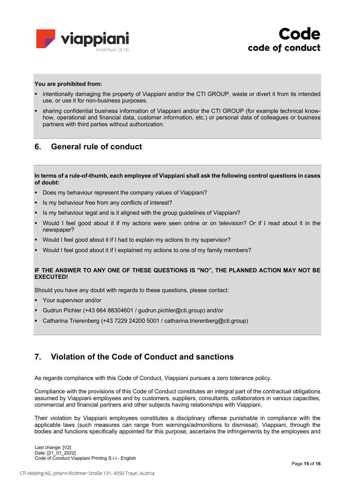



#### **You are prohibited from:**

- intentionally damaging the property of Viappiani and/or the CTI GROUP, waste or divert it from its intended use, or use it for non-business purposes.
- sharing confidential business information of Viappiani and/or the CTI GROUP (for example technical knowhow, operational and financial data, customer information, etc.) or personal data of colleagues or business partners with third parties without authorization.

## **6. General rule of conduct**

In terms of a rule-of-thumb, each employee of Viappiani shall ask the following control questions in cases **of doubt:**

- Does my behaviour represent the company values of Viappiani?
- Is my behaviour free from any conflicts of interest?
- § Is my behaviour legal and is it aligned with the group guidelines of Viappiani?
- Would I feel good about it if my actions were seen online or on television? Or if I read about it in the newspaper?
- § Would I feel good about it if I had to explain my actions to my supervisor?
- § Would I feel good about it if I explained my actions to one of my family members?

#### **IF THE ANSWER TO ANY ONE OF THESE QUESTIONS IS "NO", THE PLANNED ACTION MAY NOT BE EXECUTED!**

Should you have any doubt with regards to these questions, please contact:

- § Your supervisor and/or
- § Gudrun Pichler (+43 664 88304601 / gudrun.pichler@cti.group) and/or
- § Catharina Trierenberg (+43 7229 24200 5001 / catharina.trierenberg@cti.group)

# **7. Violation of the Code of Conduct and sanctions**

As regards compliance with this Code of Conduct, Viappiani pursues a zero tolerance policy.

Compliance with the provisions of this Code of Conduct constitutes an integral part of the contractual obligations assumed by Viappiani employees and by customers, suppliers, consultants, collaborators in various capacities, commercial and financial partners and other subjects having relationships with Viappiani.

Their violation by Viappiani employees constitutes a disciplinary offense punishable in compliance with the applicable laws (such measures can range from warnings/admonitions to dismissal). Viappiani, through the bodies and functions specifically appointed for this purpose, ascertains the infringements by the employees and